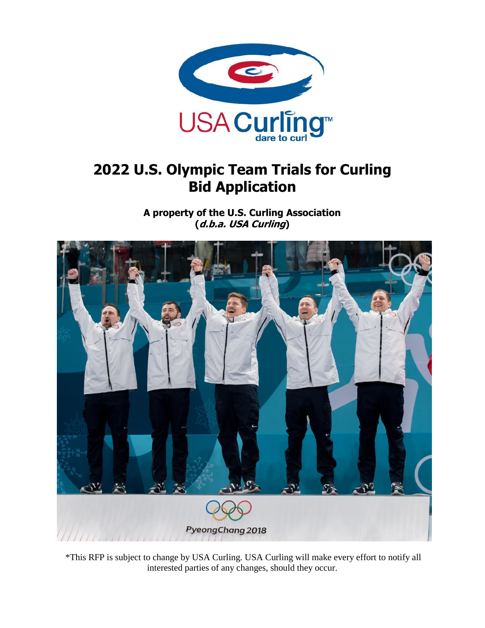

# **2022 U.S. Olympic Team Trials for Curling Bid Application**

**A property of the U.S. Curling Association (d.b.a. USA Curling)**



\*This RFP is subject to change by USA Curling. USA Curling will make every effort to notify all interested parties of any changes, should they occur.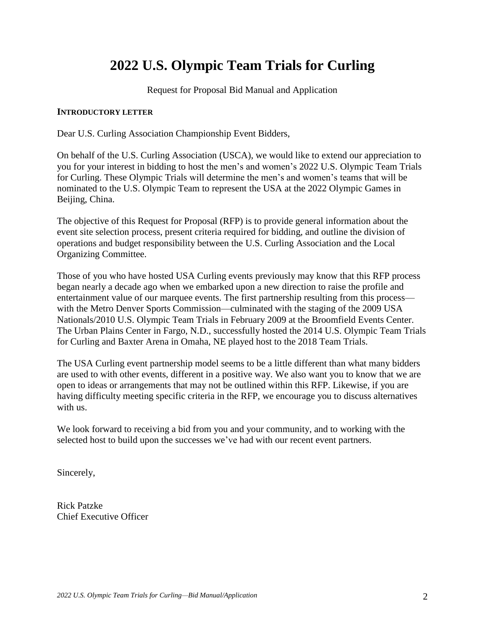# **2022 U.S. Olympic Team Trials for Curling**

Request for Proposal Bid Manual and Application

#### **INTRODUCTORY LETTER**

Dear U.S. Curling Association Championship Event Bidders,

On behalf of the U.S. Curling Association (USCA), we would like to extend our appreciation to you for your interest in bidding to host the men's and women's 2022 U.S. Olympic Team Trials for Curling. These Olympic Trials will determine the men's and women's teams that will be nominated to the U.S. Olympic Team to represent the USA at the 2022 Olympic Games in Beijing, China.

The objective of this Request for Proposal (RFP) is to provide general information about the event site selection process, present criteria required for bidding, and outline the division of operations and budget responsibility between the U.S. Curling Association and the Local Organizing Committee.

Those of you who have hosted USA Curling events previously may know that this RFP process began nearly a decade ago when we embarked upon a new direction to raise the profile and entertainment value of our marquee events. The first partnership resulting from this process with the Metro Denver Sports Commission—culminated with the staging of the 2009 USA Nationals/2010 U.S. Olympic Team Trials in February 2009 at the Broomfield Events Center. The Urban Plains Center in Fargo, N.D., successfully hosted the 2014 U.S. Olympic Team Trials for Curling and Baxter Arena in Omaha, NE played host to the 2018 Team Trials.

The USA Curling event partnership model seems to be a little different than what many bidders are used to with other events, different in a positive way. We also want you to know that we are open to ideas or arrangements that may not be outlined within this RFP. Likewise, if you are having difficulty meeting specific criteria in the RFP, we encourage you to discuss alternatives with us.

We look forward to receiving a bid from you and your community, and to working with the selected host to build upon the successes we've had with our recent event partners.

Sincerely,

Rick Patzke Chief Executive Officer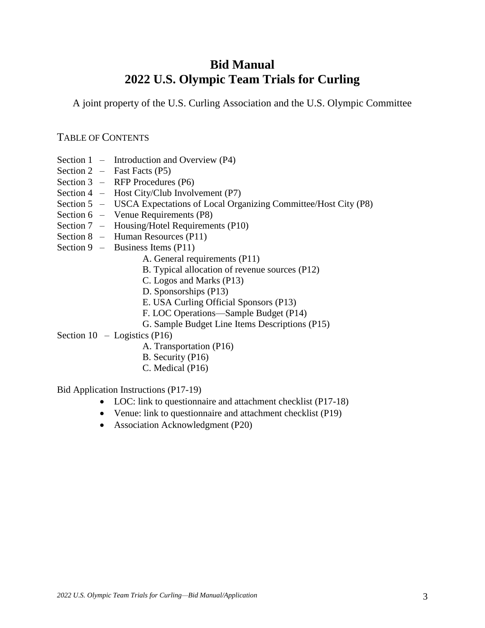## **Bid Manual 2022 U.S. Olympic Team Trials for Curling**

A joint property of the U.S. Curling Association and the U.S. Olympic Committee

## TABLE OF CONTENTS

- Section 1 Introduction and Overview (P4)
- Section  $2$  Fast Facts (P5)
- Section 3 RFP Procedures (P6)
- Section 4 Host City/Club Involvement (P7)
- Section 5 USCA Expectations of Local Organizing Committee/Host City (P8)
- Section 6 Venue Requirements (P8)
- Section 7 Housing/Hotel Requirements (P10)
- Section 8 Human Resources (P11)
- Section 9 Business Items (P11)
	- A. General requirements (P11)
	- B. Typical allocation of revenue sources (P12)
	- C. Logos and Marks (P13)
	- D. Sponsorships (P13)
	- E. USA Curling Official Sponsors (P13)
	- F. LOC Operations—Sample Budget (P14)
	- G. Sample Budget Line Items Descriptions (P15)

Section  $10 -$ Logistics (P16)

- A. Transportation (P16)
- B. Security (P16)
- C. Medical (P16)

Bid Application Instructions (P17-19)

- LOC: link to questionnaire and attachment checklist (P17-18)
- Venue: link to questionnaire and attachment checklist (P19)
- Association Acknowledgment (P20)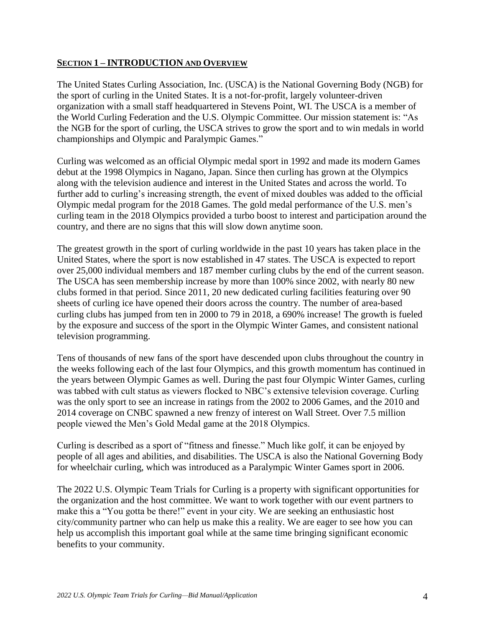#### **SECTION 1 – INTRODUCTION AND OVERVIEW**

The United States Curling Association, Inc. (USCA) is the National Governing Body (NGB) for the sport of curling in the United States. It is a not-for-profit, largely volunteer-driven organization with a small staff headquartered in Stevens Point, WI. The USCA is a member of the World Curling Federation and the U.S. Olympic Committee. Our mission statement is: "As the NGB for the sport of curling, the USCA strives to grow the sport and to win medals in world championships and Olympic and Paralympic Games."

Curling was welcomed as an official Olympic medal sport in 1992 and made its modern Games debut at the 1998 Olympics in Nagano, Japan. Since then curling has grown at the Olympics along with the television audience and interest in the United States and across the world. To further add to curling's increasing strength, the event of mixed doubles was added to the official Olympic medal program for the 2018 Games. The gold medal performance of the U.S. men's curling team in the 2018 Olympics provided a turbo boost to interest and participation around the country, and there are no signs that this will slow down anytime soon.

The greatest growth in the sport of curling worldwide in the past 10 years has taken place in the United States, where the sport is now established in 47 states. The USCA is expected to report over 25,000 individual members and 187 member curling clubs by the end of the current season. The USCA has seen membership increase by more than 100% since 2002, with nearly 80 new clubs formed in that period. Since 2011, 20 new dedicated curling facilities featuring over 90 sheets of curling ice have opened their doors across the country. The number of area-based curling clubs has jumped from ten in 2000 to 79 in 2018, a 690% increase! The growth is fueled by the exposure and success of the sport in the Olympic Winter Games, and consistent national television programming.

Tens of thousands of new fans of the sport have descended upon clubs throughout the country in the weeks following each of the last four Olympics, and this growth momentum has continued in the years between Olympic Games as well. During the past four Olympic Winter Games, curling was tabbed with cult status as viewers flocked to NBC's extensive television coverage. Curling was the only sport to see an increase in ratings from the 2002 to 2006 Games, and the 2010 and 2014 coverage on CNBC spawned a new frenzy of interest on Wall Street. Over 7.5 million people viewed the Men's Gold Medal game at the 2018 Olympics.

Curling is described as a sport of "fitness and finesse." Much like golf, it can be enjoyed by people of all ages and abilities, and disabilities. The USCA is also the National Governing Body for wheelchair curling, which was introduced as a Paralympic Winter Games sport in 2006.

The 2022 U.S. Olympic Team Trials for Curling is a property with significant opportunities for the organization and the host committee. We want to work together with our event partners to make this a "You gotta be there!" event in your city. We are seeking an enthusiastic host city/community partner who can help us make this a reality. We are eager to see how you can help us accomplish this important goal while at the same time bringing significant economic benefits to your community.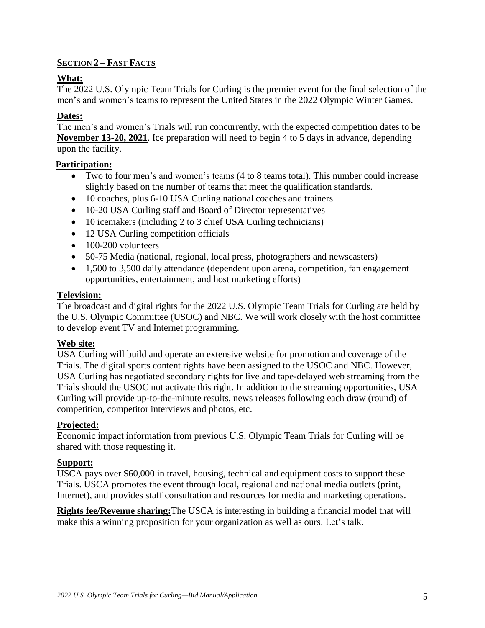## **SECTION 2 – FAST FACTS**

## **What:**

The 2022 U.S. Olympic Team Trials for Curling is the premier event for the final selection of the men's and women's teams to represent the United States in the 2022 Olympic Winter Games.

## **Dates:**

The men's and women's Trials will run concurrently, with the expected competition dates to be **November 13-20, 2021**. Ice preparation will need to begin 4 to 5 days in advance, depending upon the facility.

## **Participation:**

- Two to four men's and women's teams (4 to 8 teams total). This number could increase slightly based on the number of teams that meet the qualification standards.
- 10 coaches, plus 6-10 USA Curling national coaches and trainers
- 10-20 USA Curling staff and Board of Director representatives
- 10 icemakers (including 2 to 3 chief USA Curling technicians)
- 12 USA Curling competition officials
- 100-200 volunteers
- 50-75 Media (national, regional, local press, photographers and newscasters)
- 1,500 to 3,500 daily attendance (dependent upon arena, competition, fan engagement opportunities, entertainment, and host marketing efforts)

## **Television:**

The broadcast and digital rights for the 2022 U.S. Olympic Team Trials for Curling are held by the U.S. Olympic Committee (USOC) and NBC. We will work closely with the host committee to develop event TV and Internet programming.

## **Web site:**

USA Curling will build and operate an extensive website for promotion and coverage of the Trials. The digital sports content rights have been assigned to the USOC and NBC. However, USA Curling has negotiated secondary rights for live and tape-delayed web streaming from the Trials should the USOC not activate this right. In addition to the streaming opportunities, USA Curling will provide up-to-the-minute results, news releases following each draw (round) of competition, competitor interviews and photos, etc.

## **Projected:**

Economic impact information from previous U.S. Olympic Team Trials for Curling will be shared with those requesting it.

## **Support:**

USCA pays over \$60,000 in travel, housing, technical and equipment costs to support these Trials. USCA promotes the event through local, regional and national media outlets (print, Internet), and provides staff consultation and resources for media and marketing operations.

**Rights fee/Revenue sharing:**The USCA is interesting in building a financial model that will make this a winning proposition for your organization as well as ours. Let's talk.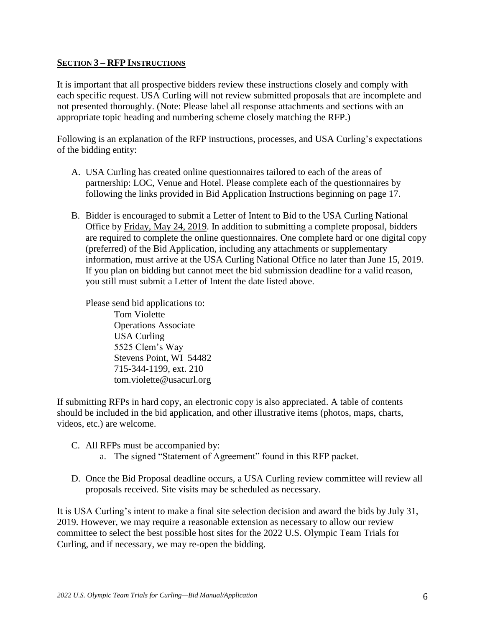#### **SECTION 3 – RFP INSTRUCTIONS**

It is important that all prospective bidders review these instructions closely and comply with each specific request. USA Curling will not review submitted proposals that are incomplete and not presented thoroughly. (Note: Please label all response attachments and sections with an appropriate topic heading and numbering scheme closely matching the RFP.)

Following is an explanation of the RFP instructions, processes, and USA Curling's expectations of the bidding entity:

- A. USA Curling has created online questionnaires tailored to each of the areas of partnership: LOC, Venue and Hotel. Please complete each of the questionnaires by following the links provided in Bid Application Instructions beginning on page 17.
- B. Bidder is encouraged to submit a Letter of Intent to Bid to the USA Curling National Office by Friday, May 24, 2019. In addition to submitting a complete proposal, bidders are required to complete the online questionnaires. One complete hard or one digital copy (preferred) of the Bid Application, including any attachments or supplementary information, must arrive at the USA Curling National Office no later than June 15, 2019. If you plan on bidding but cannot meet the bid submission deadline for a valid reason, you still must submit a Letter of Intent the date listed above.

Please send bid applications to: Tom Violette Operations Associate USA Curling 5525 Clem's Way Stevens Point, WI 54482 715-344-1199, ext. 210 tom.violette@usacurl.org

If submitting RFPs in hard copy, an electronic copy is also appreciated. A table of contents should be included in the bid application, and other illustrative items (photos, maps, charts, videos, etc.) are welcome.

- C. All RFPs must be accompanied by:
	- a. The signed "Statement of Agreement" found in this RFP packet.
- D. Once the Bid Proposal deadline occurs, a USA Curling review committee will review all proposals received. Site visits may be scheduled as necessary.

It is USA Curling's intent to make a final site selection decision and award the bids by July 31, 2019. However, we may require a reasonable extension as necessary to allow our review committee to select the best possible host sites for the 2022 U.S. Olympic Team Trials for Curling, and if necessary, we may re-open the bidding.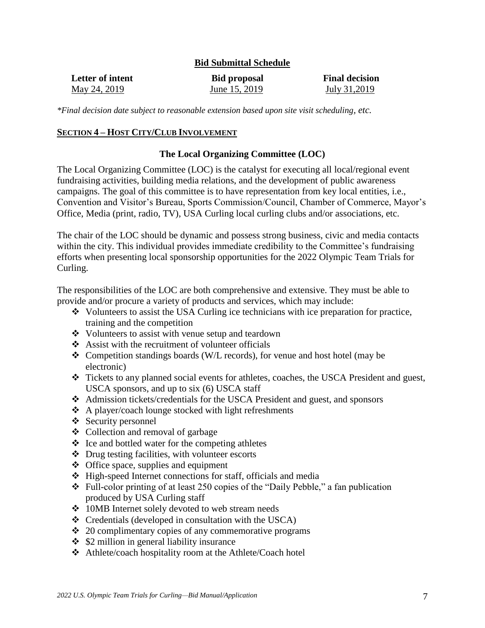#### **Bid Submittal Schedule**

| Letter of intent | <b>Bid proposal</b> | <b>Final decision</b> |
|------------------|---------------------|-----------------------|
| May 24, 2019     | June 15, 2019       | July 31,2019          |

*\*Final decision date subject to reasonable extension based upon site visit scheduling, etc.*

#### **SECTION 4 – HOST CITY/CLUB INVOLVEMENT**

#### **The Local Organizing Committee (LOC)**

The Local Organizing Committee (LOC) is the catalyst for executing all local/regional event fundraising activities, building media relations, and the development of public awareness campaigns. The goal of this committee is to have representation from key local entities, i.e., Convention and Visitor's Bureau, Sports Commission/Council, Chamber of Commerce, Mayor's Office, Media (print, radio, TV), USA Curling local curling clubs and/or associations, etc.

The chair of the LOC should be dynamic and possess strong business, civic and media contacts within the city. This individual provides immediate credibility to the Committee's fundraising efforts when presenting local sponsorship opportunities for the 2022 Olympic Team Trials for Curling.

The responsibilities of the LOC are both comprehensive and extensive. They must be able to provide and/or procure a variety of products and services, which may include:

- $\bullet$  Volunteers to assist the USA Curling ice technicians with ice preparation for practice, training and the competition
- Volunteers to assist with venue setup and teardown
- $\triangle$  Assist with the recruitment of volunteer officials
- $\triangle$  Competition standings boards (W/L records), for venue and host hotel (may be electronic)
- Tickets to any planned social events for athletes, coaches, the USCA President and guest, USCA sponsors, and up to six (6) USCA staff
- Admission tickets/credentials for the USCA President and guest, and sponsors
- A player/coach lounge stocked with light refreshments
- $\div$  Security personnel
- $\triangleleft$  Collection and removal of garbage
- $\triangle$  Ice and bottled water for the competing athletes
- $\triangle$  Drug testing facilities, with volunteer escorts
- Office space, supplies and equipment
- $\triangle$  High-speed Internet connections for staff, officials and media
- Full-color printing of at least 250 copies of the "Daily Pebble," a fan publication produced by USA Curling staff
- 10MB Internet solely devoted to web stream needs
- $\triangleleft$  Credentials (developed in consultation with the USCA)
- $\div$  20 complimentary copies of any commemorative programs
- $\div$  \$2 million in general liability insurance
- Athlete/coach hospitality room at the Athlete/Coach hotel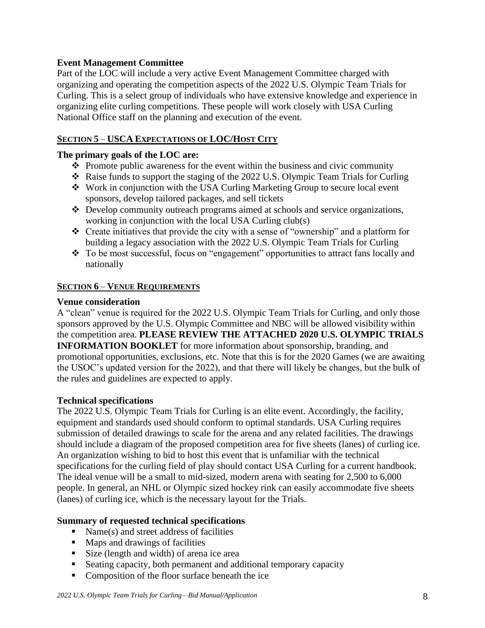## **Event Management Committee**

Part of the LOC will include a very active Event Management Committee charged with organizing and operating the competition aspects of the 2022 U.S. Olympic Team Trials for Curling. This is a select group of individuals who have extensive knowledge and experience in organizing elite curling competitions. These people will work closely with USA Curling National Office staff on the planning and execution of the event.

## **SECTION 5** – **USCA EXPECTATIONS OF LOC/HOST CITY**

## **The primary goals of the LOC are:**

- $\triangle$  Promote public awareness for the event within the business and civic community
- Raise funds to support the staging of the 2022 U.S. Olympic Team Trials for Curling
- Work in conjunction with the USA Curling Marketing Group to secure local event sponsors, develop tailored packages, and sell tickets
- Develop community outreach programs aimed at schools and service organizations, working in conjunction with the local USA Curling club(s)
- Create initiatives that provide the city with a sense of "ownership" and a platform for building a legacy association with the 2022 U.S. Olympic Team Trials for Curling
- \* To be most successful, focus on "engagement" opportunities to attract fans locally and nationally

#### **SECTION 6** – **VENUE REQUIREMENTS**

#### **Venue consideration**

A "clean" venue is required for the 2022 U.S. Olympic Team Trials for Curling, and only those sponsors approved by the U.S. Olympic Committee and NBC will be allowed visibility within the competition area. **PLEASE REVIEW THE ATTACHED 2020 U.S. OLYMPIC TRIALS INFORMATION BOOKLET** for more information about sponsorship, branding, and promotional opportunities, exclusions, etc. Note that this is for the 2020 Games (we are awaiting the USOC's updated version for the 2022), and that there will likely be changes, but the bulk of the rules and guidelines are expected to apply.

## **Technical specifications**

The 2022 U.S. Olympic Team Trials for Curling is an elite event. Accordingly, the facility, equipment and standards used should conform to optimal standards. USA Curling requires submission of detailed drawings to scale for the arena and any related facilities. The drawings should include a diagram of the proposed competition area for five sheets (lanes) of curling ice. An organization wishing to bid to host this event that is unfamiliar with the technical specifications for the curling field of play should contact USA Curling for a current handbook. The ideal venue will be a small to mid-sized, modern arena with seating for 2,500 to 6,000 people. In general, an NHL or Olympic sized hockey rink can easily accommodate five sheets (lanes) of curling ice, which is the necessary layout for the Trials.

## **Summary of requested technical specifications**

- Name(s) and street address of facilities
- **Maps and drawings of facilities**
- Size (length and width) of arena ice area
- Seating capacity, both permanent and additional temporary capacity
- Composition of the floor surface beneath the ice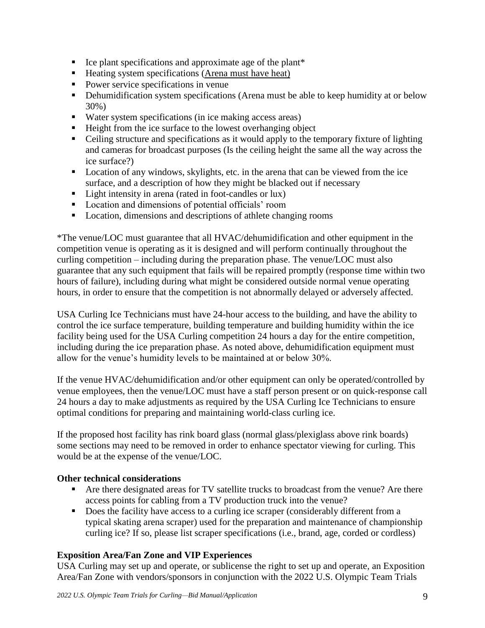- $\blacksquare$  Ice plant specifications and approximate age of the plant\*
- $\blacksquare$  Heating system specifications (Arena must have heat)
- Power service specifications in venue
- Dehumidification system specifications (Arena must be able to keep humidity at or below 30%)
- Water system specifications (in ice making access areas)
- Height from the ice surface to the lowest overhanging object
- Ceiling structure and specifications as it would apply to the temporary fixture of lighting and cameras for broadcast purposes (Is the ceiling height the same all the way across the ice surface?)
- **Location of any windows, skylights, etc. in the arena that can be viewed from the ice** surface, and a description of how they might be blacked out if necessary
- Light intensity in arena (rated in foot-candles or lux)
- **Location and dimensions of potential officials' room**
- **Location, dimensions and descriptions of athlete changing rooms**

\*The venue/LOC must guarantee that all HVAC/dehumidification and other equipment in the competition venue is operating as it is designed and will perform continually throughout the curling competition – including during the preparation phase. The venue/LOC must also guarantee that any such equipment that fails will be repaired promptly (response time within two hours of failure), including during what might be considered outside normal venue operating hours, in order to ensure that the competition is not abnormally delayed or adversely affected.

USA Curling Ice Technicians must have 24-hour access to the building, and have the ability to control the ice surface temperature, building temperature and building humidity within the ice facility being used for the USA Curling competition 24 hours a day for the entire competition, including during the ice preparation phase. As noted above, dehumidification equipment must allow for the venue's humidity levels to be maintained at or below 30%.

If the venue HVAC/dehumidification and/or other equipment can only be operated/controlled by venue employees, then the venue/LOC must have a staff person present or on quick-response call 24 hours a day to make adjustments as required by the USA Curling Ice Technicians to ensure optimal conditions for preparing and maintaining world-class curling ice.

If the proposed host facility has rink board glass (normal glass/plexiglass above rink boards) some sections may need to be removed in order to enhance spectator viewing for curling. This would be at the expense of the venue/LOC.

#### **Other technical considerations**

- Are there designated areas for TV satellite trucks to broadcast from the venue? Are there access points for cabling from a TV production truck into the venue?
- Does the facility have access to a curling ice scraper (considerably different from a typical skating arena scraper) used for the preparation and maintenance of championship curling ice? If so, please list scraper specifications (i.e., brand, age, corded or cordless)

#### **Exposition Area/Fan Zone and VIP Experiences**

USA Curling may set up and operate, or sublicense the right to set up and operate, an Exposition Area/Fan Zone with vendors/sponsors in conjunction with the 2022 U.S. Olympic Team Trials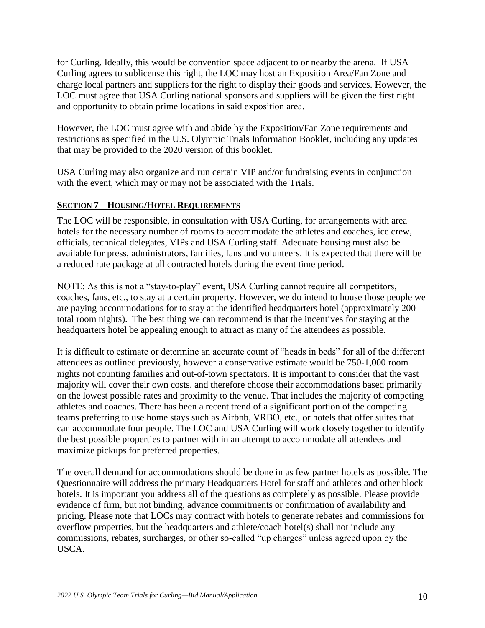for Curling. Ideally, this would be convention space adjacent to or nearby the arena. If USA Curling agrees to sublicense this right, the LOC may host an Exposition Area/Fan Zone and charge local partners and suppliers for the right to display their goods and services. However, the LOC must agree that USA Curling national sponsors and suppliers will be given the first right and opportunity to obtain prime locations in said exposition area.

However, the LOC must agree with and abide by the Exposition/Fan Zone requirements and restrictions as specified in the U.S. Olympic Trials Information Booklet, including any updates that may be provided to the 2020 version of this booklet.

USA Curling may also organize and run certain VIP and/or fundraising events in conjunction with the event, which may or may not be associated with the Trials.

## **SECTION 7 – HOUSING/HOTEL REQUIREMENTS**

The LOC will be responsible, in consultation with USA Curling, for arrangements with area hotels for the necessary number of rooms to accommodate the athletes and coaches, ice crew, officials, technical delegates, VIPs and USA Curling staff. Adequate housing must also be available for press, administrators, families, fans and volunteers. It is expected that there will be a reduced rate package at all contracted hotels during the event time period.

NOTE: As this is not a "stay-to-play" event, USA Curling cannot require all competitors, coaches, fans, etc., to stay at a certain property. However, we do intend to house those people we are paying accommodations for to stay at the identified headquarters hotel (approximately 200 total room nights). The best thing we can recommend is that the incentives for staying at the headquarters hotel be appealing enough to attract as many of the attendees as possible.

It is difficult to estimate or determine an accurate count of "heads in beds" for all of the different attendees as outlined previously, however a conservative estimate would be 750-1,000 room nights not counting families and out-of-town spectators. It is important to consider that the vast majority will cover their own costs, and therefore choose their accommodations based primarily on the lowest possible rates and proximity to the venue. That includes the majority of competing athletes and coaches. There has been a recent trend of a significant portion of the competing teams preferring to use home stays such as Airbnb, VRBO, etc., or hotels that offer suites that can accommodate four people. The LOC and USA Curling will work closely together to identify the best possible properties to partner with in an attempt to accommodate all attendees and maximize pickups for preferred properties.

The overall demand for accommodations should be done in as few partner hotels as possible. The Questionnaire will address the primary Headquarters Hotel for staff and athletes and other block hotels. It is important you address all of the questions as completely as possible. Please provide evidence of firm, but not binding, advance commitments or confirmation of availability and pricing. Please note that LOCs may contract with hotels to generate rebates and commissions for overflow properties, but the headquarters and athlete/coach hotel(s) shall not include any commissions, rebates, surcharges, or other so-called "up charges" unless agreed upon by the USCA.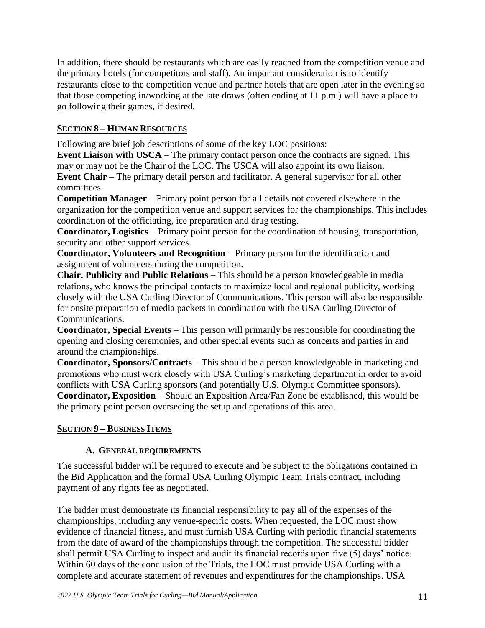In addition, there should be restaurants which are easily reached from the competition venue and the primary hotels (for competitors and staff). An important consideration is to identify restaurants close to the competition venue and partner hotels that are open later in the evening so that those competing in/working at the late draws (often ending at 11 p.m.) will have a place to go following their games, if desired.

## **SECTION 8 – HUMAN RESOURCES**

Following are brief job descriptions of some of the key LOC positions:

**Event Liaison with USCA** – The primary contact person once the contracts are signed. This may or may not be the Chair of the LOC. The USCA will also appoint its own liaison. **Event Chair** – The primary detail person and facilitator. A general supervisor for all other committees.

**Competition Manager** – Primary point person for all details not covered elsewhere in the organization for the competition venue and support services for the championships. This includes coordination of the officiating, ice preparation and drug testing.

**Coordinator, Logistics** – Primary point person for the coordination of housing, transportation, security and other support services.

**Coordinator, Volunteers and Recognition** – Primary person for the identification and assignment of volunteers during the competition.

**Chair, Publicity and Public Relations** – This should be a person knowledgeable in media relations, who knows the principal contacts to maximize local and regional publicity, working closely with the USA Curling Director of Communications. This person will also be responsible for onsite preparation of media packets in coordination with the USA Curling Director of Communications.

**Coordinator, Special Events** – This person will primarily be responsible for coordinating the opening and closing ceremonies, and other special events such as concerts and parties in and around the championships.

**Coordinator, Sponsors/Contracts** – This should be a person knowledgeable in marketing and promotions who must work closely with USA Curling's marketing department in order to avoid conflicts with USA Curling sponsors (and potentially U.S. Olympic Committee sponsors). **Coordinator, Exposition** – Should an Exposition Area/Fan Zone be established, this would be the primary point person overseeing the setup and operations of this area.

## **SECTION 9 – BUSINESS ITEMS**

## **A. GENERAL REQUIREMENTS**

The successful bidder will be required to execute and be subject to the obligations contained in the Bid Application and the formal USA Curling Olympic Team Trials contract, including payment of any rights fee as negotiated.

The bidder must demonstrate its financial responsibility to pay all of the expenses of the championships, including any venue-specific costs. When requested, the LOC must show evidence of financial fitness, and must furnish USA Curling with periodic financial statements from the date of award of the championships through the competition. The successful bidder shall permit USA Curling to inspect and audit its financial records upon five (5) days' notice. Within 60 days of the conclusion of the Trials, the LOC must provide USA Curling with a complete and accurate statement of revenues and expenditures for the championships. USA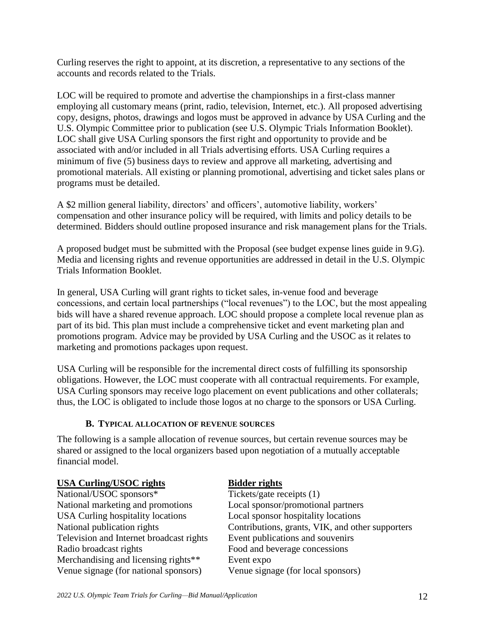Curling reserves the right to appoint, at its discretion, a representative to any sections of the accounts and records related to the Trials.

LOC will be required to promote and advertise the championships in a first-class manner employing all customary means (print, radio, television, Internet, etc.). All proposed advertising copy, designs, photos, drawings and logos must be approved in advance by USA Curling and the U.S. Olympic Committee prior to publication (see U.S. Olympic Trials Information Booklet). LOC shall give USA Curling sponsors the first right and opportunity to provide and be associated with and/or included in all Trials advertising efforts. USA Curling requires a minimum of five (5) business days to review and approve all marketing, advertising and promotional materials. All existing or planning promotional, advertising and ticket sales plans or programs must be detailed.

A \$2 million general liability, directors' and officers', automotive liability, workers' compensation and other insurance policy will be required, with limits and policy details to be determined. Bidders should outline proposed insurance and risk management plans for the Trials.

A proposed budget must be submitted with the Proposal (see budget expense lines guide in 9.G). Media and licensing rights and revenue opportunities are addressed in detail in the U.S. Olympic Trials Information Booklet.

In general, USA Curling will grant rights to ticket sales, in-venue food and beverage concessions, and certain local partnerships ("local revenues") to the LOC, but the most appealing bids will have a shared revenue approach. LOC should propose a complete local revenue plan as part of its bid. This plan must include a comprehensive ticket and event marketing plan and promotions program. Advice may be provided by USA Curling and the USOC as it relates to marketing and promotions packages upon request.

USA Curling will be responsible for the incremental direct costs of fulfilling its sponsorship obligations. However, the LOC must cooperate with all contractual requirements. For example, USA Curling sponsors may receive logo placement on event publications and other collaterals; thus, the LOC is obligated to include those logos at no charge to the sponsors or USA Curling.

#### **B. TYPICAL ALLOCATION OF REVENUE SOURCES**

The following is a sample allocation of revenue sources, but certain revenue sources may be shared or assigned to the local organizers based upon negotiation of a mutually acceptable financial model.

| <b>USA Curling/USOC rights</b>           | <b>Bidder rights</b>                             |
|------------------------------------------|--------------------------------------------------|
| National/USOC sponsors*                  | Tickets/gate receipts (1)                        |
| National marketing and promotions        | Local sponsor/promotional partners               |
| <b>USA Curling hospitality locations</b> | Local sponsor hospitality locations              |
| National publication rights              | Contributions, grants, VIK, and other supporters |
| Television and Internet broadcast rights | Event publications and souvenirs                 |
| Radio broadcast rights                   | Food and beverage concessions                    |
| Merchandising and licensing rights**     | Event expo                                       |
| Venue signage (for national sponsors)    | Venue signage (for local sponsors)               |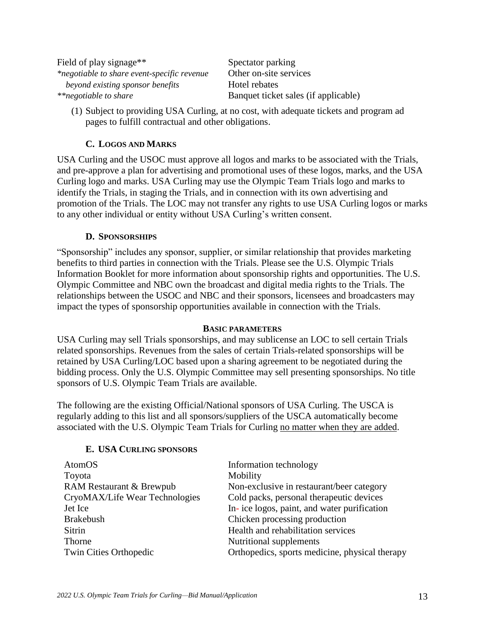| Field of play signage <sup>**</sup>         | Spectator parking                    |
|---------------------------------------------|--------------------------------------|
| *negotiable to share event-specific revenue | Other on-site services               |
| beyond existing sponsor benefits            | Hotel rebates                        |
| **negotiable to share                       | Banquet ticket sales (if applicable) |

(1) Subject to providing USA Curling, at no cost, with adequate tickets and program ad pages to fulfill contractual and other obligations.

## **C. LOGOS AND MARKS**

USA Curling and the USOC must approve all logos and marks to be associated with the Trials, and pre-approve a plan for advertising and promotional uses of these logos, marks, and the USA Curling logo and marks. USA Curling may use the Olympic Team Trials logo and marks to identify the Trials, in staging the Trials, and in connection with its own advertising and promotion of the Trials. The LOC may not transfer any rights to use USA Curling logos or marks to any other individual or entity without USA Curling's written consent.

## **D. SPONSORSHIPS**

"Sponsorship" includes any sponsor, supplier, or similar relationship that provides marketing benefits to third parties in connection with the Trials. Please see the U.S. Olympic Trials Information Booklet for more information about sponsorship rights and opportunities. The U.S. Olympic Committee and NBC own the broadcast and digital media rights to the Trials. The relationships between the USOC and NBC and their sponsors, licensees and broadcasters may impact the types of sponsorship opportunities available in connection with the Trials.

#### **BASIC PARAMETERS**

USA Curling may sell Trials sponsorships, and may sublicense an LOC to sell certain Trials related sponsorships. Revenues from the sales of certain Trials-related sponsorships will be retained by USA Curling/LOC based upon a sharing agreement to be negotiated during the bidding process. Only the U.S. Olympic Committee may sell presenting sponsorships. No title sponsors of U.S. Olympic Team Trials are available.

The following are the existing Official/National sponsors of USA Curling. The USCA is regularly adding to this list and all sponsors/suppliers of the USCA automatically become associated with the U.S. Olympic Team Trials for Curling no matter when they are added.

#### **E. USA CURLING SPONSORS**

| AtomOS                         | Information technology                         |
|--------------------------------|------------------------------------------------|
| Toyota                         | Mobility                                       |
| RAM Restaurant & Brewpub       | Non-exclusive in restaurant/beer category      |
| CryoMAX/Life Wear Technologies | Cold packs, personal therapeutic devices       |
| Jet Ice                        | In-ice logos, paint, and water purification    |
| <b>Brakebush</b>               | Chicken processing production                  |
| <b>Sitrin</b>                  | Health and rehabilitation services             |
| Thorne                         | Nutritional supplements                        |
| Twin Cities Orthopedic         | Orthopedics, sports medicine, physical therapy |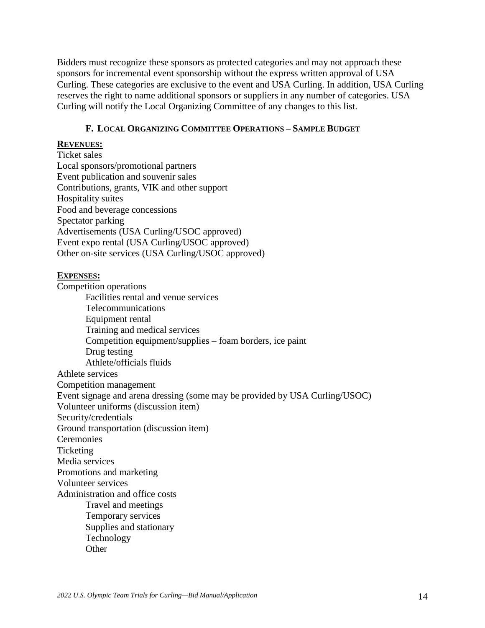Bidders must recognize these sponsors as protected categories and may not approach these sponsors for incremental event sponsorship without the express written approval of USA Curling. These categories are exclusive to the event and USA Curling. In addition, USA Curling reserves the right to name additional sponsors or suppliers in any number of categories. USA Curling will notify the Local Organizing Committee of any changes to this list.

#### **F. LOCAL ORGANIZING COMMITTEE OPERATIONS – SAMPLE BUDGET**

#### **REVENUES:**

Ticket sales Local sponsors/promotional partners Event publication and souvenir sales Contributions, grants, VIK and other support Hospitality suites Food and beverage concessions Spectator parking Advertisements (USA Curling/USOC approved) Event expo rental (USA Curling/USOC approved) Other on-site services (USA Curling/USOC approved)

#### **EXPENSES:**

Competition operations

Facilities rental and venue services Telecommunications Equipment rental Training and medical services Competition equipment/supplies – foam borders, ice paint Drug testing Athlete/officials fluids Athlete services Competition management Event signage and arena dressing (some may be provided by USA Curling/USOC) Volunteer uniforms (discussion item) Security/credentials Ground transportation (discussion item) Ceremonies **Ticketing** Media services Promotions and marketing Volunteer services Administration and office costs Travel and meetings Temporary services Supplies and stationary Technology **Other**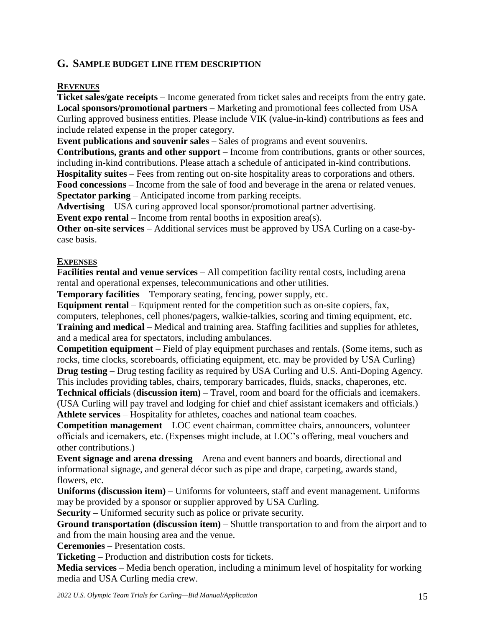## **G. SAMPLE BUDGET LINE ITEM DESCRIPTION**

#### **REVENUES**

**Ticket sales/gate receipts** – Income generated from ticket sales and receipts from the entry gate. **Local sponsors/promotional partners** – Marketing and promotional fees collected from USA Curling approved business entities. Please include VIK (value-in-kind) contributions as fees and include related expense in the proper category.

**Event publications and souvenir sales** – Sales of programs and event souvenirs.

**Contributions, grants and other support** – Income from contributions, grants or other sources, including in-kind contributions. Please attach a schedule of anticipated in-kind contributions.

**Hospitality suites** – Fees from renting out on-site hospitality areas to corporations and others.

**Food concessions** – Income from the sale of food and beverage in the arena or related venues. **Spectator parking** – Anticipated income from parking receipts.

**Advertising** – USA curing approved local sponsor/promotional partner advertising.

**Event expo rental** – Income from rental booths in exposition area(s).

**Other on-site services** – Additional services must be approved by USA Curling on a case-bycase basis.

## **EXPENSES**

**Facilities rental and venue services** – All competition facility rental costs, including arena rental and operational expenses, telecommunications and other utilities.

**Temporary facilities** – Temporary seating, fencing, power supply, etc.

**Equipment rental** – Equipment rented for the competition such as on-site copiers, fax, computers, telephones, cell phones/pagers, walkie-talkies, scoring and timing equipment, etc. **Training and medical** – Medical and training area. Staffing facilities and supplies for athletes, and a medical area for spectators, including ambulances.

**Competition equipment** – Field of play equipment purchases and rentals. (Some items, such as rocks, time clocks, scoreboards, officiating equipment, etc. may be provided by USA Curling) **Drug testing** – Drug testing facility as required by USA Curling and U.S. Anti-Doping Agency.

This includes providing tables, chairs, temporary barricades, fluids, snacks, chaperones, etc. **Technical officials** (**discussion item)** – Travel, room and board for the officials and icemakers. (USA Curling will pay travel and lodging for chief and chief assistant icemakers and officials.)

**Athlete services** – Hospitality for athletes, coaches and national team coaches.

**Competition management** – LOC event chairman, committee chairs, announcers, volunteer officials and icemakers, etc. (Expenses might include, at LOC's offering, meal vouchers and other contributions.)

**Event signage and arena dressing** – Arena and event banners and boards, directional and informational signage, and general décor such as pipe and drape, carpeting, awards stand, flowers, etc.

**Uniforms (discussion item)** – Uniforms for volunteers, staff and event management. Uniforms may be provided by a sponsor or supplier approved by USA Curling.

**Security** – Uniformed security such as police or private security.

**Ground transportation (discussion item)** – Shuttle transportation to and from the airport and to and from the main housing area and the venue.

**Ceremonies** – Presentation costs.

**Ticketing** – Production and distribution costs for tickets.

**Media services** – Media bench operation, including a minimum level of hospitality for working media and USA Curling media crew.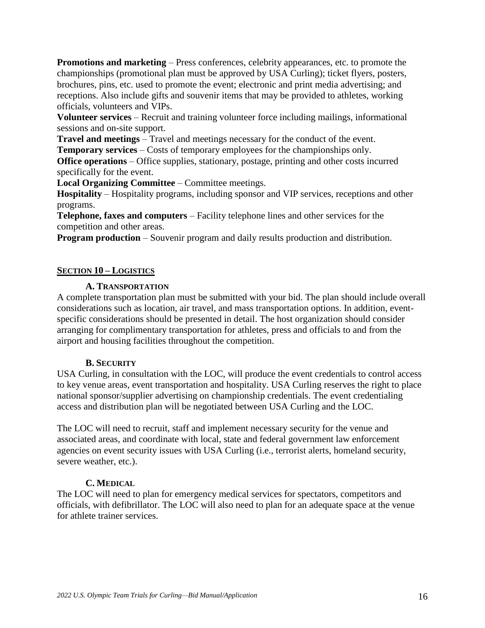**Promotions and marketing** – Press conferences, celebrity appearances, etc. to promote the championships (promotional plan must be approved by USA Curling); ticket flyers, posters, brochures, pins, etc. used to promote the event; electronic and print media advertising; and receptions. Also include gifts and souvenir items that may be provided to athletes, working officials, volunteers and VIPs.

**Volunteer services** – Recruit and training volunteer force including mailings, informational sessions and on-site support.

**Travel and meetings** – Travel and meetings necessary for the conduct of the event.

**Temporary services** – Costs of temporary employees for the championships only.

**Office operations** – Office supplies, stationary, postage, printing and other costs incurred specifically for the event.

**Local Organizing Committee** – Committee meetings.

**Hospitality** – Hospitality programs, including sponsor and VIP services, receptions and other programs.

**Telephone, faxes and computers** – Facility telephone lines and other services for the competition and other areas.

**Program production** – Souvenir program and daily results production and distribution.

#### **SECTION 10 – LOGISTICS**

#### **A. TRANSPORTATION**

A complete transportation plan must be submitted with your bid. The plan should include overall considerations such as location, air travel, and mass transportation options. In addition, eventspecific considerations should be presented in detail. The host organization should consider arranging for complimentary transportation for athletes, press and officials to and from the airport and housing facilities throughout the competition.

#### **B. SECURITY**

USA Curling, in consultation with the LOC, will produce the event credentials to control access to key venue areas, event transportation and hospitality. USA Curling reserves the right to place national sponsor/supplier advertising on championship credentials. The event credentialing access and distribution plan will be negotiated between USA Curling and the LOC.

The LOC will need to recruit, staff and implement necessary security for the venue and associated areas, and coordinate with local, state and federal government law enforcement agencies on event security issues with USA Curling (i.e., terrorist alerts, homeland security, severe weather, etc.).

#### **C. MEDICAL**

The LOC will need to plan for emergency medical services for spectators, competitors and officials, with defibrillator. The LOC will also need to plan for an adequate space at the venue for athlete trainer services.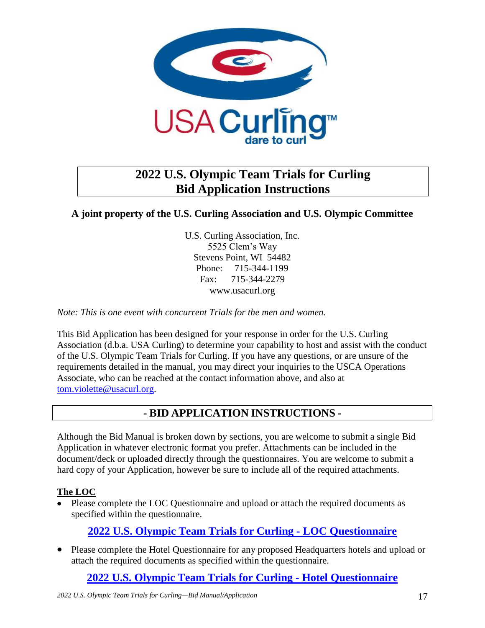

## **2022 U.S. Olympic Team Trials for Curling Bid Application Instructions**

## **A joint property of the U.S. Curling Association and U.S. Olympic Committee**

U.S. Curling Association, Inc. 5525 Clem's Way Stevens Point, WI 54482 Phone: 715-344-1199 Fax: 715-344-2279 www.usacurl.org

*Note: This is one event with concurrent Trials for the men and women.*

This Bid Application has been designed for your response in order for the U.S. Curling Association (d.b.a. USA Curling) to determine your capability to host and assist with the conduct of the U.S. Olympic Team Trials for Curling. If you have any questions, or are unsure of the requirements detailed in the manual, you may direct your inquiries to the USCA Operations Associate, who can be reached at the contact information above, and also at [tom.violette@usacurl.org.](mailto:tom.violette@usacurl.org)

## **- BID APPLICATION INSTRUCTIONS -**

Although the Bid Manual is broken down by sections, you are welcome to submit a single Bid Application in whatever electronic format you prefer. Attachments can be included in the document/deck or uploaded directly through the questionnaires. You are welcome to submit a hard copy of your Application, however be sure to include all of the required attachments.

## **The LOC**

• Please complete the LOC Questionnaire and upload or attach the required documents as specified within the questionnaire.

## **2022 U.S. [Olympic Team Trials for Curling -](https://usacurling.wufoo.com/forms/zcejp6g09jfx5n/) LOC Questionnaire**

 Please complete the Hotel Questionnaire for any proposed Headquarters hotels and upload or attach the required documents as specified within the questionnaire.

**2022 U.S. [Olympic Team Trials for Curling -](https://usacurling.wufoo.com/forms/z873v1m121tmts/) Hotel Questionnaire**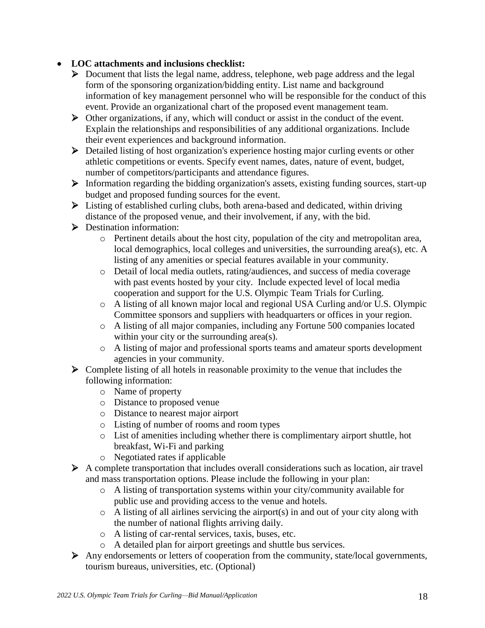## **LOC attachments and inclusions checklist:**

- Document that lists the legal name, address, telephone, web page address and the legal form of the sponsoring organization/bidding entity. List name and background information of key management personnel who will be responsible for the conduct of this event. Provide an organizational chart of the proposed event management team.
- $\triangleright$  Other organizations, if any, which will conduct or assist in the conduct of the event. Explain the relationships and responsibilities of any additional organizations. Include their event experiences and background information.
- Detailed listing of host organization's experience hosting major curling events or other athletic competitions or events. Specify event names, dates, nature of event, budget, number of competitors/participants and attendance figures.
- $\triangleright$  Information regarding the bidding organization's assets, existing funding sources, start-up budget and proposed funding sources for the event.
- Listing of established curling clubs, both arena-based and dedicated, within driving distance of the proposed venue, and their involvement, if any, with the bid.
- **Destination information:** 
	- o Pertinent details about the host city, population of the city and metropolitan area, local demographics, local colleges and universities, the surrounding area(s), etc. A listing of any amenities or special features available in your community.
	- o Detail of local media outlets, rating/audiences, and success of media coverage with past events hosted by your city. Include expected level of local media cooperation and support for the U.S. Olympic Team Trials for Curling.
	- o A listing of all known major local and regional USA Curling and/or U.S. Olympic Committee sponsors and suppliers with headquarters or offices in your region.
	- o A listing of all major companies, including any Fortune 500 companies located within your city or the surrounding area(s).
	- o A listing of major and professional sports teams and amateur sports development agencies in your community.
- $\triangleright$  Complete listing of all hotels in reasonable proximity to the venue that includes the following information:
	- o Name of property
	- o Distance to proposed venue
	- o Distance to nearest major airport
	- o Listing of number of rooms and room types
	- o List of amenities including whether there is complimentary airport shuttle, hot breakfast, Wi-Fi and parking
	- o Negotiated rates if applicable
- $\triangleright$  A complete transportation that includes overall considerations such as location, air travel and mass transportation options. Please include the following in your plan:
	- o A listing of transportation systems within your city/community available for public use and providing access to the venue and hotels.
	- $\circ$  A listing of all airlines servicing the airport(s) in and out of your city along with the number of national flights arriving daily.
	- o A listing of car-rental services, taxis, buses, etc.
	- o A detailed plan for airport greetings and shuttle bus services.
- Any endorsements or letters of cooperation from the community, state/local governments, tourism bureaus, universities, etc. (Optional)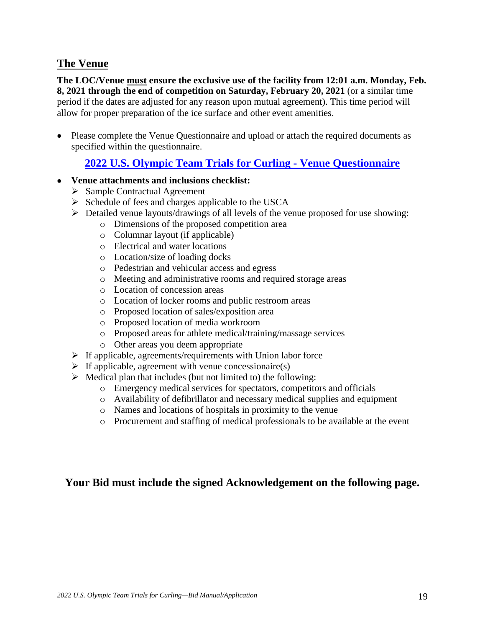## **The Venue**

**The LOC/Venue must ensure the exclusive use of the facility from 12:01 a.m. Monday, Feb. 8, 2021 through the end of competition on Saturday, February 20, 2021** (or a similar time period if the dates are adjusted for any reason upon mutual agreement). This time period will allow for proper preparation of the ice surface and other event amenities.

• Please complete the Venue Questionnaire and upload or attach the required documents as specified within the questionnaire.

## **2022 U.S. [Olympic Team Trials](https://usacurling.wufoo.com/forms/zspcr6d0uznm4b/) for Curling - Venue Questionnaire**

- **Venue attachments and inclusions checklist:**
	- $\triangleright$  Sample Contractual Agreement
	- $\triangleright$  Schedule of fees and charges applicable to the USCA
	- Detailed venue layouts/drawings of all levels of the venue proposed for use showing:
		- o Dimensions of the proposed competition area
		- o Columnar layout (if applicable)
		- o Electrical and water locations
		- o Location/size of loading docks
		- o Pedestrian and vehicular access and egress
		- o Meeting and administrative rooms and required storage areas
		- o Location of concession areas
		- o Location of locker rooms and public restroom areas
		- o Proposed location of sales/exposition area
		- o Proposed location of media workroom
		- o Proposed areas for athlete medical/training/massage services
		- o Other areas you deem appropriate
	- $\triangleright$  If applicable, agreements/requirements with Union labor force
	- $\triangleright$  If applicable, agreement with venue concessionaire(s)
	- $\triangleright$  Medical plan that includes (but not limited to) the following:
		- o Emergency medical services for spectators, competitors and officials
		- o Availability of defibrillator and necessary medical supplies and equipment
		- o Names and locations of hospitals in proximity to the venue
		- o Procurement and staffing of medical professionals to be available at the event

## **Your Bid must include the signed Acknowledgement on the following page.**